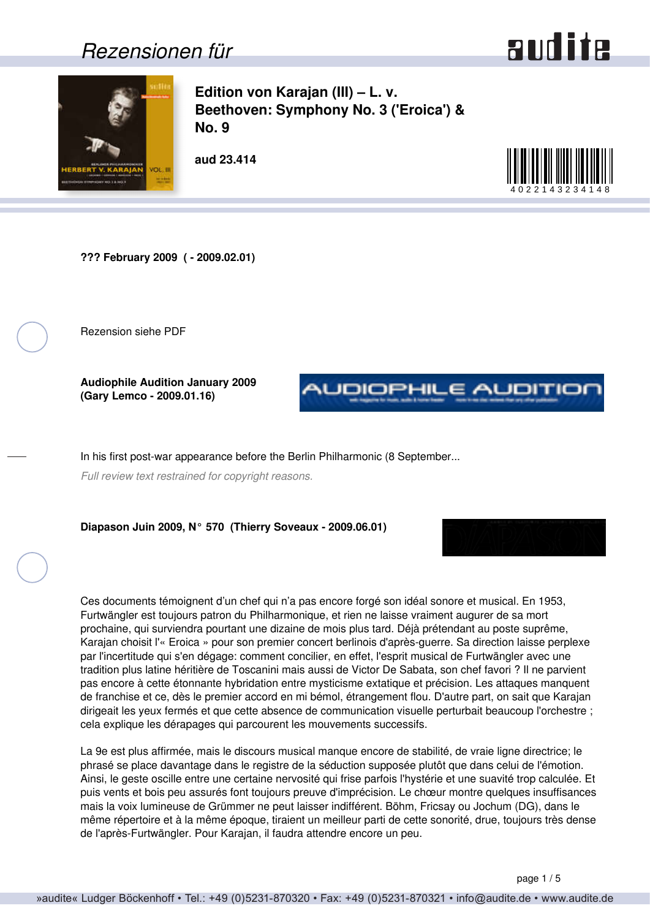### *Rezensionen für*



<span id="page-0-0"></span>

**Edition von Karajan (III) – L. v. Beethoven: Symphony No. 3 ('Eroica') & No. 9**

**aud 23.414**



**??? February 2009 ( - 2009.02.01)**

Rezension siehe PDF

**Audiophile Audition January 2009 (Gary Lemco - 2009.01.16)**



In his first post-war appearance before the Berlin Philharmonic (8 September...

*Full review text restrained for copyright reasons.*

**Diapason Juin 2009, N° 570 (Thierry Soveaux - 2009.06.01)**

Ces documents témoignent d'un chef qui n'a pas encore forgé son idéal sonore et musical. En 1953, Furtwängler est toujours patron du Philharmonique, et rien ne laisse vraiment augurer de sa mort prochaine, qui surviendra pourtant une dizaine de mois plus tard. Déjà prétendant au poste suprême, Karajan choisit l'« Eroica » pour son premier concert berlinois d'après-guerre. Sa direction laisse perplexe par l'incertitude qui s'en dégage: comment concilier, en effet, l'esprit musical de Furtwängler avec une tradition plus latine héritière de Toscanini mais aussi de Victor De Sabata, son chef favori ? Il ne parvient pas encore à cette étonnante hybridation entre mysticisme extatique et précision. Les attaques manquent de franchise et ce, dès le premier accord en mi bémol, étrangement flou. D'autre part, on sait que Karajan dirigeait les yeux fermés et que cette absence de communication visuelle perturbait beaucoup l'orchestre ; cela explique les dérapages qui parcourent les mouvements successifs.

La 9e est plus affirmée, mais le discours musical manque encore de stabilité, de vraie ligne directrice; le phrasé se place davantage dans le registre de la séduction supposée plutôt que dans celui de l'émotion. Ainsi, le geste oscille entre une certaine nervosité qui frise parfois l'hystérie et une suavité trop calculée. Et puis vents et bois peu assurés font toujours preuve d'imprécision. Le chœur montre quelques insuffisances mais la voix lumineuse de Grümmer ne peut laisser indifférent. Böhm, Fricsay ou Jochum (DG), dans le même répertoire et à la même époque, tiraient un meilleur parti de cette sonorité, drue, toujours très dense de l'après-Furtwängler. Pour Karajan, il faudra attendre encore un peu.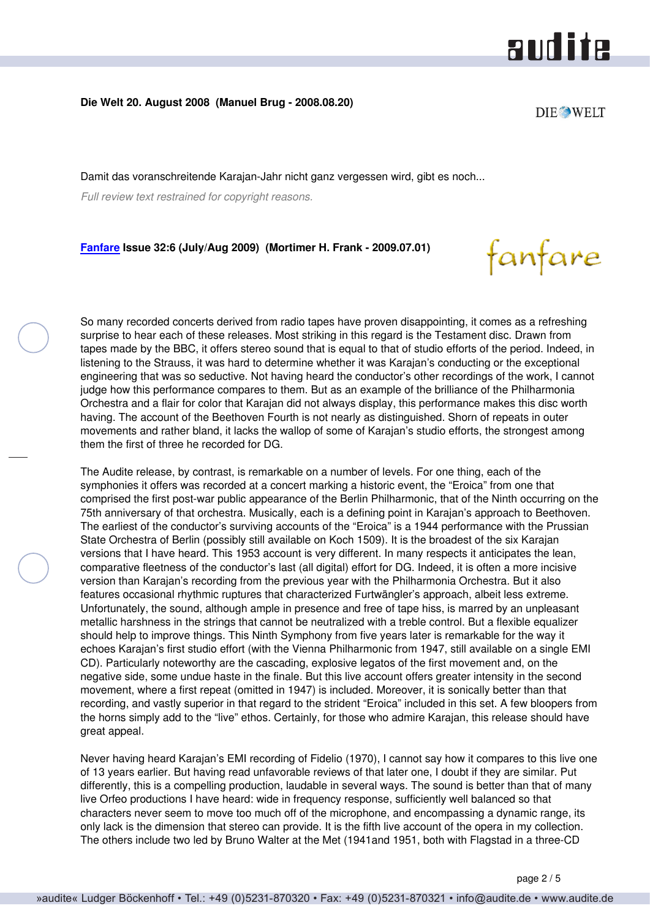### and ite

fanfare

#### <span id="page-1-0"></span>**Die Welt 20. August 2008 (Manuel Brug - 2008.08.20)**

Damit das voranschreitende Karajan-Jahr nicht ganz vergessen wird, gibt es noch...

*Full review text restrained for copyright reasons.*

#### **[Fanfare](http://www.fanfaremag.com/) Issue 32:6 (July/Aug 2009) (Mortimer H. Frank - 2009.07.01)**

So many recorded concerts derived from radio tapes have proven disappointing, it comes as a refreshing surprise to hear each of these releases. Most striking in this regard is the Testament disc. Drawn from tapes made by the BBC, it offers stereo sound that is equal to that of studio efforts of the period. Indeed, in listening to the Strauss, it was hard to determine whether it was Karajan's conducting or the exceptional engineering that was so seductive. Not having heard the conductor's other recordings of the work, I cannot judge how this performance compares to them. But as an example of the brilliance of the Philharmonia Orchestra and a flair for color that Karajan did not always display, this performance makes this disc worth having. The account of the Beethoven Fourth is not nearly as distinguished. Shorn of repeats in outer movements and rather bland, it lacks the wallop of some of Karajan's studio efforts, the strongest among them the first of three he recorded for DG.

The Audite release, by contrast, is remarkable on a number of levels. For one thing, each of the symphonies it offers was recorded at a concert marking a historic event, the "Eroica" from one that comprised the first post-war public appearance of the Berlin Philharmonic, that of the Ninth occurring on the 75th anniversary of that orchestra. Musically, each is a defining point in Karajan's approach to Beethoven. The earliest of the conductor's surviving accounts of the "Eroica" is a 1944 performance with the Prussian State Orchestra of Berlin (possibly still available on Koch 1509). It is the broadest of the six Karajan versions that I have heard. This 1953 account is very different. In many respects it anticipates the lean, comparative fleetness of the conductor's last (all digital) effort for DG. Indeed, it is often a more incisive version than Karajan's recording from the previous year with the Philharmonia Orchestra. But it also features occasional rhythmic ruptures that characterized Furtwängler's approach, albeit less extreme. Unfortunately, the sound, although ample in presence and free of tape hiss, is marred by an unpleasant metallic harshness in the strings that cannot be neutralized with a treble control. But a flexible equalizer should help to improve things. This Ninth Symphony from five years later is remarkable for the way it echoes Karajan's first studio effort (with the Vienna Philharmonic from 1947, still available on a single EMI CD). Particularly noteworthy are the cascading, explosive legatos of the first movement and, on the negative side, some undue haste in the finale. But this live account offers greater intensity in the second movement, where a first repeat (omitted in 1947) is included. Moreover, it is sonically better than that recording, and vastly superior in that regard to the strident "Eroica" included in this set. A few bloopers from the horns simply add to the "live" ethos. Certainly, for those who admire Karajan, this release should have great appeal.

Never having heard Karajan's EMI recording of Fidelio (1970), I cannot say how it compares to this live one of 13 years earlier. But having read unfavorable reviews of that later one, I doubt if they are similar. Put differently, this is a compelling production, laudable in several ways. The sound is better than that of many live Orfeo productions I have heard: wide in frequency response, sufficiently well balanced so that characters never seem to move too much off of the microphone, and encompassing a dynamic range, its only lack is the dimension that stereo can provide. It is the fifth live account of the opera in my collection. The others include two led by Bruno Walter at the Met (1941and 1951, both with Flagstad in a three-CD

**DIE WELT**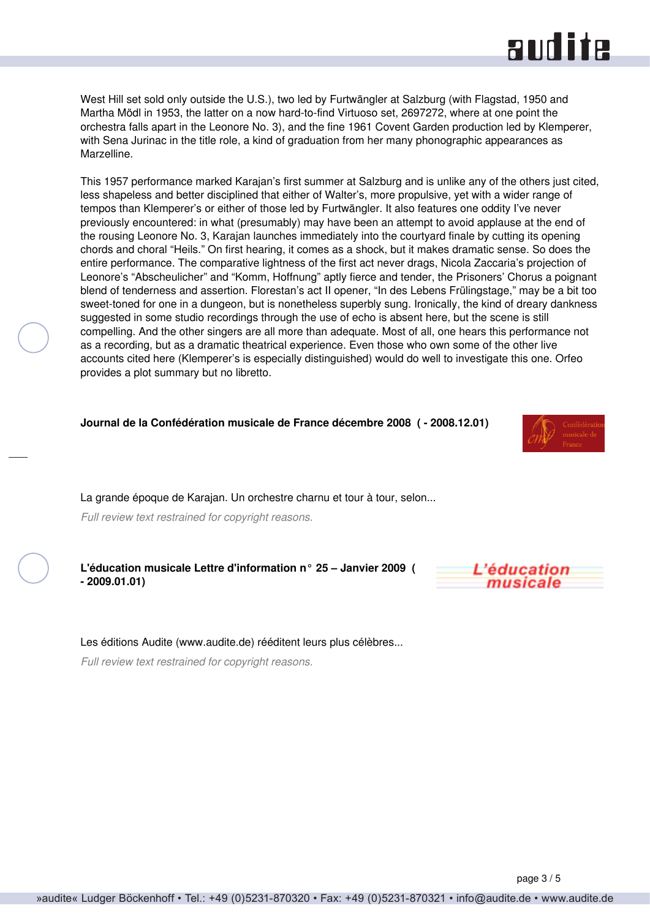## **RUD ite**

<span id="page-2-0"></span>West Hill set sold only outside the U.S.), two led by Furtwängler at Salzburg (with Flagstad, 1950 and Martha Mödl in 1953, the latter on a now hard-to-find Virtuoso set, 2697272, where at one point the orchestra falls apart in the Leonore No. 3), and the fine 1961 Covent Garden production led by Klemperer, with Sena Jurinac in the title role, a kind of graduation from her many phonographic appearances as Marzelline.

This 1957 performance marked Karajan's first summer at Salzburg and is unlike any of the others just cited, less shapeless and better disciplined that either of Walter's, more propulsive, yet with a wider range of tempos than Klemperer's or either of those led by Furtwängler. It also features one oddity I've never previously encountered: in what (presumably) may have been an attempt to avoid applause at the end of the rousing Leonore No. 3, Karajan launches immediately into the courtyard finale by cutting its opening chords and choral "Heils." On first hearing, it comes as a shock, but it makes dramatic sense. So does the entire performance. The comparative lightness of the first act never drags, Nicola Zaccaria's projection of Leonore's "Abscheulicher" and "Komm, Hoffnung" aptly fierce and tender, the Prisoners' Chorus a poignant blend of tenderness and assertion. Florestan's act II opener, "In des Lebens Frülingstage," may be a bit too sweet-toned for one in a dungeon, but is nonetheless superbly sung. Ironically, the kind of dreary dankness suggested in some studio recordings through the use of echo is absent here, but the scene is still compelling. And the other singers are all more than adequate. Most of all, one hears this performance not as a recording, but as a dramatic theatrical experience. Even those who own some of the other live accounts cited here (Klemperer's is especially distinguished) would do well to investigate this one. Orfeo provides a plot summary but no libretto.

#### **Journal de la Confédération musicale de France décembre 2008 ( - 2008.12.01)**

La grande époque de Karajan. Un orchestre charnu et tour à tour, selon...

*Full review text restrained for copyright reasons.*

**L'éducation musicale Lettre d'information n° 25 – Janvier 2009 ( - 2009.01.01)**



#### Les éditions Audite (www.audite.de) rééditent leurs plus célèbres...

*Full review text restrained for copyright reasons.*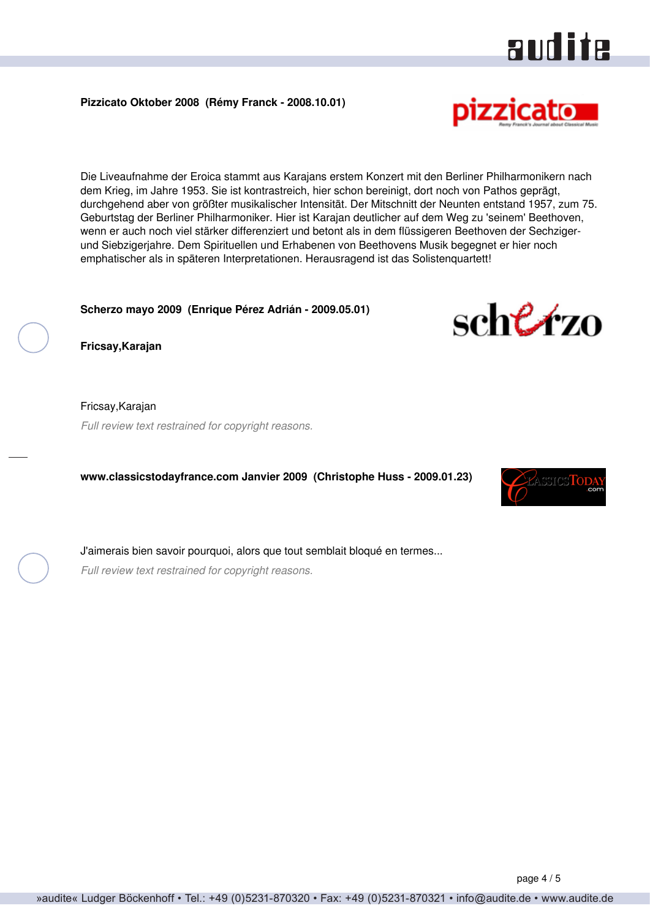<span id="page-3-0"></span>**Pizzicato Oktober 2008 (Rémy Franck - 2008.10.01)**

Die Liveaufnahme der Eroica stammt aus Karajans erstem Konzert mit den Berliner Philharmonikern nach dem Krieg, im Jahre 1953. Sie ist kontrastreich, hier schon bereinigt, dort noch von Pathos geprägt, durchgehend aber von größter musikalischer Intensität. Der Mitschnitt der Neunten entstand 1957, zum 75. Geburtstag der Berliner Philharmoniker. Hier ist Karajan deutlicher auf dem Weg zu 'seinem' Beethoven, wenn er auch noch viel stärker differenziert und betont als in dem flüssigeren Beethoven der Sechzigerund Siebzigerjahre. Dem Spirituellen und Erhabenen von Beethovens Musik begegnet er hier noch emphatischer als in späteren Interpretationen. Herausragend ist das Solistenquartett!

#### **Scherzo mayo 2009 (Enrique Pérez Adrián - 2009.05.01)**

**Fricsay,Karajan**

Fricsay,Karajan *Full review text restrained for copyright reasons.*

**www.classicstodayfrance.com Janvier 2009 (Christophe Huss - 2009.01.23)**

J'aimerais bien savoir pourquoi, alors que tout semblait bloqué en termes...

*Full review text restrained for copyright reasons.*







audite